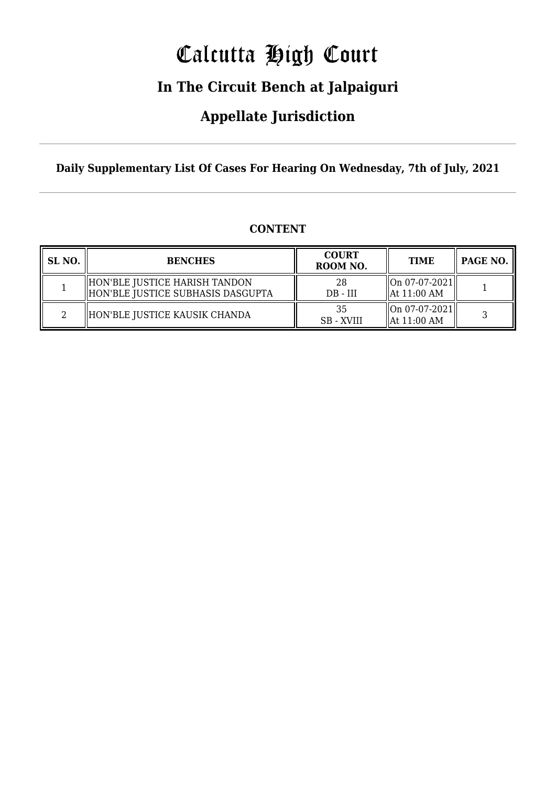# Calcutta High Court

### **In The Circuit Bench at Jalpaiguri**

### **Appellate Jurisdiction**

**Daily Supplementary List Of Cases For Hearing On Wednesday, 7th of July, 2021**

### **CONTENT**

| SL NO. | <b>BENCHES</b>                                                     | <b>COURT</b><br>ROOM NO. | <b>TIME</b>                                        | PAGE NO. |
|--------|--------------------------------------------------------------------|--------------------------|----------------------------------------------------|----------|
|        | HON'BLE JUSTICE HARISH TANDON<br>HON'BLE JUSTICE SUBHASIS DASGUPTA | 28<br>$DB - III$         | $\ $ On 07-07-2021 $\ $<br>$\parallel$ At 11:00 AM |          |
|        | HON'BLE JUSTICE KAUSIK CHANDA                                      | 35<br><b>SB</b> - XVIII  | $\ $ On 07-07-2021 $\ $<br>$\parallel$ At 11:00 AM |          |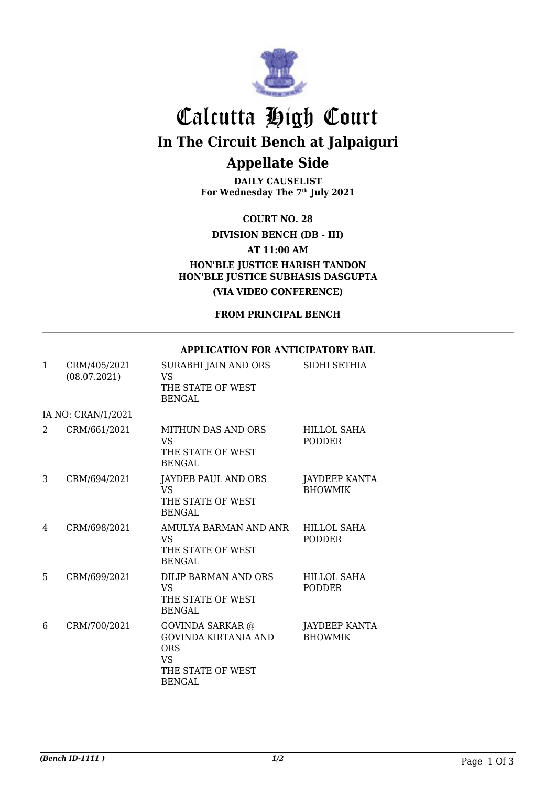

## Calcutta High Court **In The Circuit Bench at Jalpaiguri Appellate Side**

**DAILY CAUSELIST For Wednesday The 7th July 2021**

**COURT NO. 28**

**DIVISION BENCH (DB - III)**

**AT 11:00 AM**

**HON'BLE JUSTICE HARISH TANDON HON'BLE JUSTICE SUBHASIS DASGUPTA (VIA VIDEO CONFERENCE)**

**FROM PRINCIPAL BENCH**

#### **APPLICATION FOR ANTICIPATORY BAIL**

| $\mathbf{1}$       | CRM/405/2021<br>(08.07.2021) | SURABHI JAIN AND ORS<br>VS<br>THE STATE OF WEST<br><b>BENGAL</b>                                                 | SIDHI SETHIA                           |  |  |
|--------------------|------------------------------|------------------------------------------------------------------------------------------------------------------|----------------------------------------|--|--|
| IA NO: CRAN/1/2021 |                              |                                                                                                                  |                                        |  |  |
| 2                  | CRM/661/2021                 | MITHUN DAS AND ORS<br>VS <sub>1</sub><br>THE STATE OF WEST<br>BENGAL                                             | HILLOL SAHA<br><b>PODDER</b>           |  |  |
| 3                  | CRM/694/2021                 | JAYDEB PAUL AND ORS<br><b>VS</b><br>THE STATE OF WEST<br>BENGAL                                                  | <b>JAYDEEP KANTA</b><br><b>BHOWMIK</b> |  |  |
| 4                  | CRM/698/2021                 | AMULYA BARMAN AND ANR<br><b>VS</b><br>THE STATE OF WEST<br><b>BENGAL</b>                                         | <b>HILLOL SAHA</b><br><b>PODDER</b>    |  |  |
| 5                  | CRM/699/2021                 | DILIP BARMAN AND ORS<br><b>VS</b><br>THE STATE OF WEST<br><b>BENGAL</b>                                          | <b>HILLOL SAHA</b><br><b>PODDER</b>    |  |  |
| 6                  | CRM/700/2021                 | <b>GOVINDA SARKAR</b> @<br>GOVINDA KIRTANIA AND<br><b>ORS</b><br><b>VS</b><br>THE STATE OF WEST<br><b>BENGAL</b> | JAYDEEP KANTA<br><b>BHOWMIK</b>        |  |  |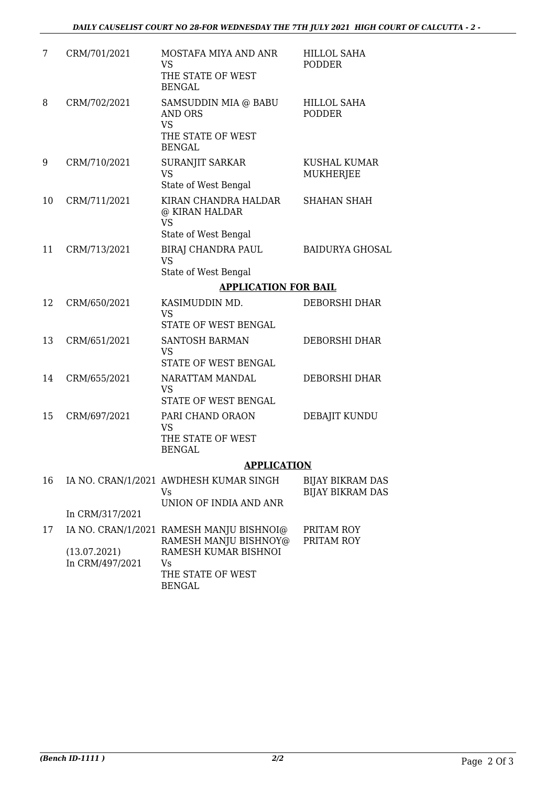| 7  | CRM/701/2021                    | MOSTAFA MIYA AND ANR<br>VS<br>THE STATE OF WEST<br><b>BENGAL</b>                          | HILLOL SAHA<br><b>PODDER</b>                       |
|----|---------------------------------|-------------------------------------------------------------------------------------------|----------------------------------------------------|
| 8  | CRM/702/2021                    | SAMSUDDIN MIA @ BABU<br><b>AND ORS</b><br><b>VS</b><br>THE STATE OF WEST<br><b>BENGAL</b> | <b>HILLOL SAHA</b><br><b>PODDER</b>                |
| 9  | CRM/710/2021                    | SURANJIT SARKAR<br><b>VS</b><br>State of West Bengal                                      | KUSHAL KUMAR<br><b>MUKHERJEE</b>                   |
| 10 | CRM/711/2021                    | KIRAN CHANDRA HALDAR<br>@ KIRAN HALDAR<br><b>VS</b><br>State of West Bengal               | <b>SHAHAN SHAH</b>                                 |
| 11 | CRM/713/2021                    | <b>BIRAJ CHANDRA PAUL</b><br><b>VS</b><br>State of West Bengal                            | <b>BAIDURYA GHOSAL</b>                             |
|    |                                 | <b>APPLICATION FOR BAIL</b>                                                               |                                                    |
| 12 | CRM/650/2021                    | KASIMUDDIN MD.<br><b>VS</b><br>STATE OF WEST BENGAL                                       | <b>DEBORSHI DHAR</b>                               |
| 13 | CRM/651/2021                    | SANTOSH BARMAN<br><b>VS</b><br>STATE OF WEST BENGAL                                       | <b>DEBORSHI DHAR</b>                               |
| 14 | CRM/655/2021                    | NARATTAM MANDAL<br><b>VS</b><br><b>STATE OF WEST BENGAL</b>                               | <b>DEBORSHI DHAR</b>                               |
| 15 | CRM/697/2021                    | PARI CHAND ORAON<br>VS<br>THE STATE OF WEST<br><b>BENGAL</b>                              | DEBAJIT KUNDU                                      |
|    |                                 | <b>APPLICATION</b>                                                                        |                                                    |
| 16 |                                 | IA NO. CRAN/1/2021 AWDHESH KUMAR SINGH<br>Vs<br>UNION OF INDIA AND ANR                    | <b>BIJAY BIKRAM DAS</b><br><b>BIJAY BIKRAM DAS</b> |
|    | In CRM/317/2021                 |                                                                                           |                                                    |
| 17 |                                 | IA NO. CRAN/1/2021 RAMESH MANJU BISHNOI@<br>RAMESH MANJU BISHNOY@                         | PRITAM ROY<br>PRITAM ROY                           |
|    | (13.07.2021)<br>In CRM/497/2021 | RAMESH KUMAR BISHNOI<br>Vs<br>THE STATE OF WEST<br><b>BENGAL</b>                          |                                                    |